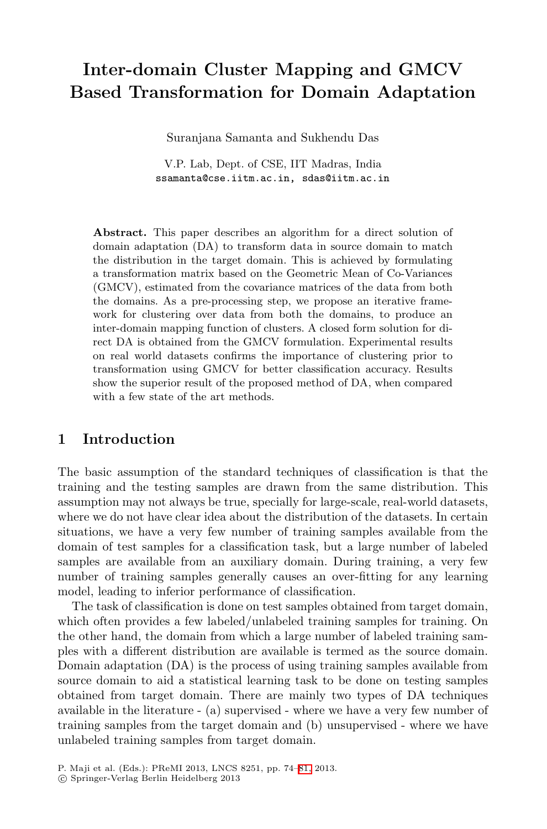# **Inter-domain Cluster Mapping and GMCV Based Transformation for Domain Adaptation**

Suranjana Samanta and Sukhendu Das

V.P. Lab, Dept. of CSE, IIT Madras, India ssamanta@cse.iitm.ac.in, sdas@iitm.ac.in

**Abstract.** This paper describes an algorithm for a direct solution of domain adaptation (DA) to transform data in source domain to match the distribution in the target domain. This is achieved by formulating a transformation matrix based on the Geometric Mean of Co-Variances (GMCV), estimated from the covariance matrices of the data from both the domains. As a pre-processing step, we propose an iterative framework for clustering over data from both the domains, to produce an inter-domain mapping function of clusters. A closed form solution for direct DA is obtained from the GMCV formulation. Experimental results on real world datasets confirms the importance of clustering prior to transformation using GMCV for better classification accuracy. Results show the superior result of the proposed method of DA, when compared with a few state of the art methods.

# **1 Introduction**

The basic assumption of the standard techniques of classification is that the training and the testing samples are drawn from the same distribution. This assumption may not always be true, specially for large-scale, real-world datasets, where we do not have clear idea about the distribution of the datasets. In certain situations, we have a very few number of training samples available from the domain of test samples for a classification task, but a large number of labeled samples are available from an auxiliary domain. During training, a very few number of training samples generally causes an over-fitting for any learning model, leading to inferior performance of classification.

The task of classification is done on test samples obtained from target domain, which often provides a few labeled/unlabeled training samples for training. On the other hand, the domain from which a large number of labeled training samples with a different distri[bu](#page-7-0)tion are available is termed as the source domain. Domain adaptation (DA) is the process of using training samples available from source domain to aid a statistical learning task to be done on testing samples obtained from target domain. There are mainly two types of DA techniques available in the literature - (a) supervised - where we have a very few number of training samples from the target domain and (b) unsupervised - where we have unlabeled training samples from target domain.

P. Maji et al. (Eds.): PReMI 2013, LNCS 8251, pp. 74–81, 2013.

<sup>-</sup>c Springer-Verlag Berlin Heidelberg 2013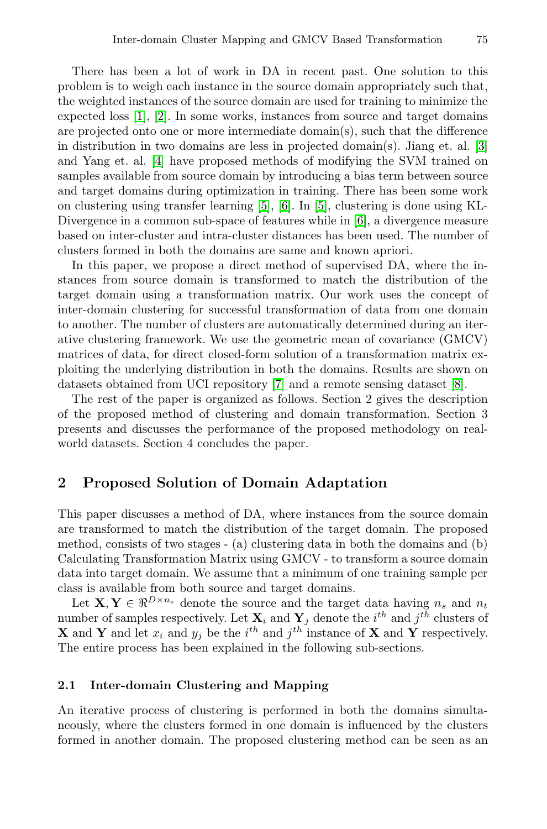There has been a lot of work in DA in recent past. One solution to this problem is to weigh [e](#page-7-2)a[ch](#page-7-3) insta[nc](#page-7-2)e in the source domain appropriately such that, the weighted instances of the source d[om](#page-7-3)ain are used for training to minimize the expected loss [1], [2]. In some works, instances from source and target domains are projected onto one or more intermediate domain(s), such that the difference in distribution in two domains are less in projected domain(s). Jiang et. al. [3] and Yang et. al. [4] have proposed methods of modifying the SVM trained on samples available from source domain by introducing a bias term between source and target domains during optimization in training. There has been some work on clustering using transfer learning [5], [6]. In [5], clustering is done using KL-Divergence in a common sub-space of features while in [6], a divergence measure based on inter-cluster and intra-cluster distances has been used. The number of clusters formed in both the domains are same and known apriori.

In this paper, we [pro](#page-7-4)pose a direct method of super[vi](#page-7-5)sed DA, where the instances from source domain is transformed to match the distribution of the target domain using a transformation matrix. Our work uses the concept of inter-domain clustering for successful transformation of data from one domain to another. The number of clusters are automatically determined during an iterative clustering framework. We use the geometric mean of covariance (GMCV) matrices of data, for direct closed-form solution of a transformation matrix exploiting the underlying distribution in both the domains. Results are shown on datasets obtained from UCI repository [7] and a remote sensing dataset [8].

The rest of the paper is organized as follows. Section 2 gives the description of the proposed method of clustering and domain transformation. Section 3 presents and discusses the performance of the proposed methodology on realworld datasets. Section 4 concludes the paper.

# **2 Proposed Solution of Domain Adaptation**

This paper discusses a method of DA, where instances from the source domain are transformed to match the distribution of the target domain. The proposed method, consists of two stages - (a) clustering data in both the domains and (b) Calculating Transformation Matrix using GMCV - to transform a source domain data into target domain. We assume that a minimum of one training sample per class is available from both source and target domains.

Let  $\mathbf{X}, \mathbf{Y} \in \mathbb{R}^{D \times n_s}$  denote the source and the target data having  $n_s$  and  $n_t$ number of samples respectively. Let  $\mathbf{X}_i$  and  $\mathbf{Y}_j$  denote the  $i^{th}$  and  $j^{th}$  clusters of **X** and **Y** and let  $x_i$  and  $y_j$  be the  $i^{th}$  and  $j^{th}$  instance of **X** and **Y** respectively. The entire process has been explained in the following sub-sections.

### **2.1 Inter-domain Clustering and Mapping**

An iterative process of clustering is performed in both the domains simultaneously, where the clusters formed in one domain is influenced by the clusters formed in another domain. The proposed clustering method can be seen as an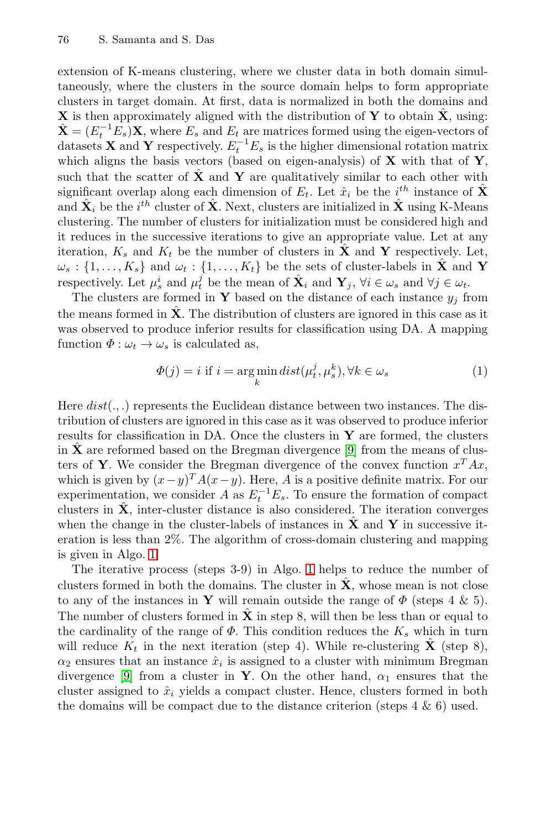#### 76 S. Samanta and S. Das

extension of K-means clustering, where we cluster data in both domain simultaneously, where the clusters in the source domain helps to form appropriate clusters in target domain. At first, data is normalized in both the domains and **X** is then approximately aligned with the distribution of **Y** to obtain  $\hat{\mathbf{X}}$ , using:  $\hat{\mathbf{X}} = (E_t^{-1} E_s) \mathbf{X}$ , where  $E_s$  and  $E_t$  are matrices formed using the eigen-vectors of datasets **X** and **Y** respectively.  $E_t^{-1}E_s$  is the higher dimensional rotation matrix which aligns the basis vectors (based on eigen-analysis) of **X** with that of **Y**, such that the scatter of  $\hat{\mathbf{X}}$  and  $\mathbf{Y}$  are qualitatively similar to each other with significant overlap along each dimension of  $E_t$ . Let  $\hat{x}_i$  be the  $i^{th}$  instance of  $\hat{X}$ and  $\hat{\mathbf{X}}_i$  be the  $i^{th}$  cluster of  $\hat{\mathbf{X}}$ . Next, clusters are initialized in  $\hat{\mathbf{X}}$  using K-Means clustering. The number of clusters for initialization must be considered high and it reduces in the successive iterations to give an appropriate value. Let at any iteration,  $K_s$  and  $K_t$  be the number of clusters in  $\hat{\mathbf{X}}$  and **Y** respectively. Let,  $\omega_s$ : {1,..., $K_s$ } and  $\omega_t$ : {1,..., $K_t$ } be the sets of cluster-labels in  $\hat{\mathbf{X}}$  and **Y** respectively. Let  $\mu_s^i$  and  $\mu_t^j$  be the mean of  $\hat{\mathbf{X}}_i$  and  $\mathbf{Y}_j$ ,  $\forall i \in \omega_s$  and  $\forall j \in \omega_t$ .

The clusters are formed in **Y** based on the distance of each instance  $y_j$  from the means formed in  $\hat{\mathbf{X}}$ . The distribution of clusters are ignored in this case as it was observed to produce inferior re[su](#page-7-6)lts for classification using DA. A mapping function  $\Phi : \omega_t \to \omega_s$  is calculated as,

$$
\Phi(j) = i \text{ if } i = \operatorname*{arg\,min}_{k} dist(\mu_t^j, \mu_s^k), \forall k \in \omega_s \tag{1}
$$

Here  $dist(.,.)$  represents the Euclidean distance between two instances. The distribution of clusters are ignored in this case as it was observed to produce inferior [r](#page-3-0)esults for classification in DA. Once the clusters in **Y** are formed, the clusters in  $\hat{\mathbf{X}}$  are reformed based on [th](#page-3-0)e Bregman divergence [9] from the means of clusters of **Y**. We consider the Bregman divergence of the convex function  $x^T A x$ , which is given by  $(x-y)^T A(x-y)$ . Here, A is a positive definite matrix. For our experimentation, we consider A as  $E_t^{-1}E_s$ . To ensure the formation of compact clusters in  $\hat{\mathbf{X}}$ , inter-cluster distance is also considered. The iteration converges when the change in the cluster-labels of instances in  $\tilde{\mathbf{X}}$  and  $\tilde{\mathbf{Y}}$  in successive iteration is less than 2%. The algorithm of cross-domain clustering and mapping is given in Algo. 1.

The iterative process (steps 3-9) in Algo. 1 helps to reduce the number of clusters formed in both the domains. The cluster in  $\hat{\mathbf{X}}$ , whose mean is not close to any of the instances in **Y** will remain outside the range of  $\Phi$  (steps 4 & 5). The number of clusters formed in  $\hat{\mathbf{X}}$  in step 8, will then be less than or equal to the cardinality of the range of  $\Phi$ . This condition reduces the  $K_s$  which in turn will reduce  $K_t$  in the next iteration (step 4). While re-clustering  $\ddot{\mathbf{X}}$  (step 8),  $\alpha_2$  ensures that an instance  $\hat{x}_i$  is assigned to a cluster with minimum Bregman divergence [9] from a cluster in **Y**. On the other hand,  $\alpha_1$  ensures that the cluster assigned to  $\hat{x}_i$  yields a compact cluster. Hence, clusters formed in both the domains will be compact due to the distance criterion (steps  $4 \& 6$ ) used.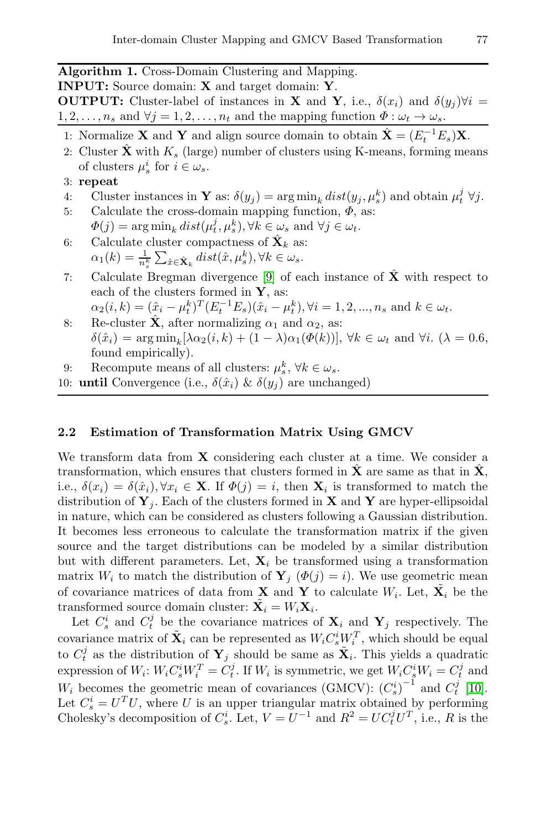<span id="page-3-0"></span>

| <b>Algorithm 1.</b> Cross-Domain Clustering and Mapping.                                                                                                 |
|----------------------------------------------------------------------------------------------------------------------------------------------------------|
| <b>INPUT:</b> Source domain: $X$ and target domain: $Y$ .                                                                                                |
| <b>OUTPUT:</b> Cluster-label of instances in <b>X</b> and <b>Y</b> , i.e., $\delta(x_i)$ and $\delta(y_i)\forall i$ =                                    |
| $1, 2, \ldots, n_s$ and $\forall j = 1, 2, \ldots, n_t$ and the mapping function $\Phi : \omega_t \to \omega_s$ .                                        |
| 1: Normalize <b>X</b> and <b>Y</b> and align source domain to obtain $\hat{\mathbf{X}} = (E_t^{-1} E_s) \mathbf{X}$ .                                    |
| 2: Cluster $\bar{\mathbf{X}}$ with $K_s$ (large) number of clusters using K-means, forming means                                                         |
| of clusters $\mu_s^i$ for $i \in \omega_s$ .                                                                                                             |
| $3:$ repeat                                                                                                                                              |
| Cluster instances in <b>Y</b> as: $\delta(y_j) = \arg \min_k dist(y_j, \mu_s^k)$ and obtain $\mu_t^j \ \forall j$ .<br>4:                                |
| Calculate the cross-domain mapping function, $\Phi$ , as:<br>5:                                                                                          |
| $\Phi(j) = \arg \min_k dist(\mu_t^j, \mu_s^k), \forall k \in \omega_s \text{ and } \forall j \in \omega_t.$                                              |
| Calculate cluster compactness of $\mathbf{X}_k$ as:<br>6:                                                                                                |
| $\alpha_1(k) = \frac{1}{n^k} \sum_{\hat{x} \in \hat{\mathbf{X}}_k} dist(\hat{x}, \mu_s^k), \forall k \in \omega_s.$                                      |
| Calculate Bregman divergence [9] of each instance of $\hat{\mathbf{X}}$ with respect to<br>7:                                                            |
| each of the clusters formed in $\mathbf{Y}$ , as:                                                                                                        |
| $\alpha_2(i,k) = (\hat{x}_i - \mu_i^k)^\text{T} (E_t^{-1} E_s)(\hat{x}_i - \mu_i^k), \forall i = 1, 2, , n_s \text{ and } k \in \omega_t.$               |
| Re-cluster $\ddot{\textbf{X}}$ , after normalizing $\alpha_1$ and $\alpha_2$ , as:<br>8:                                                                 |
| $\delta(\hat{x}_i) = \arg \min_k [\lambda \alpha_2(i,k) + (1-\lambda)\alpha_1(\Phi(k))], \forall k \in \omega_t \text{ and } \forall i. (\lambda = 0.6,$ |
| found empirically).                                                                                                                                      |
| Recompute means of all clusters: $\mu_s^k$ , $\forall k \in \omega_s$ .<br>9:                                                                            |
| 10: <b>until</b> Convergence (i.e., $\delta(\hat{x}_i)$ & $\delta(y_i)$ are unchanged)                                                                   |
|                                                                                                                                                          |

### **2.2 Estimation of Transformation Matrix Using GMCV**

We transform data from **X** considering each cluster at a time. We consider a transformation, which ensures that clusters formed in  $X$  are same as that in  $X$ , i.e.,  $\delta(x_i) = \delta(\hat{x}_i), \forall x_i \in \mathbf{X}$ . If  $\Phi(j) = i$ , then  $\mathbf{X}_i$  is transformed to match the distribution of  $Y_i$ . Each of the clusters formed in **X** and **Y** are hyper-ellipsoidal in nature, which can be considered as clusters following a Gaussian distribution. It becomes less erroneous to calculate the transformation matrix if the given source and the target distributions can be modeled by a similar distribution but with different parameters. Let,  $\mathbf{X}_i$  be transformed using a transformation matrix  $W_i$  to match the distribution of  $\mathbf{Y}_j$  ( $\Phi(j) = i$ ). [We u](#page-7-7)se geometric mean of covariance matrices of data from **X** and **Y** to calculate  $W_i$ . Let,  $\tilde{\mathbf{X}}_i$  be the transformed source domain cluster:  $\tilde{\mathbf{X}}_i = W_i \mathbf{X}_i$ .

Let  $C_s^i$  and  $C_t^j$  be the covariance matrices of  $\mathbf{X}_i$  and  $\mathbf{Y}_j$  respectively. The covariance matrix of  $\tilde{\mathbf{X}}_i$  can be represented as  $W_i C_s^i W_i^T$ , which should be equal to  $C_t^j$  as the distribution of  $\mathbf{Y}_j$  should be same as  $\tilde{\mathbf{X}}_i$ . This yields a quadratic expression of  $W_i$ :  $W_i C_s^i W_i^T = C_t^j$ . If  $W_i$  is symmetric, we get  $W_i C_s^i W_i = C_t^j$  and  $W_i$  becomes the geometric mean of covariances (GMCV):  $(C_s^i)^{-1}$  and  $C_t^j$  [10]. Let  $C_s^i = U^T U$ , where U is an upper triangular matrix obtained by performing Cholesky's decomposition of  $C_s^i$ . Let,  $V = U^{-1}$  and  $R^2 = U C_t^j U^T$ , i.e., R is the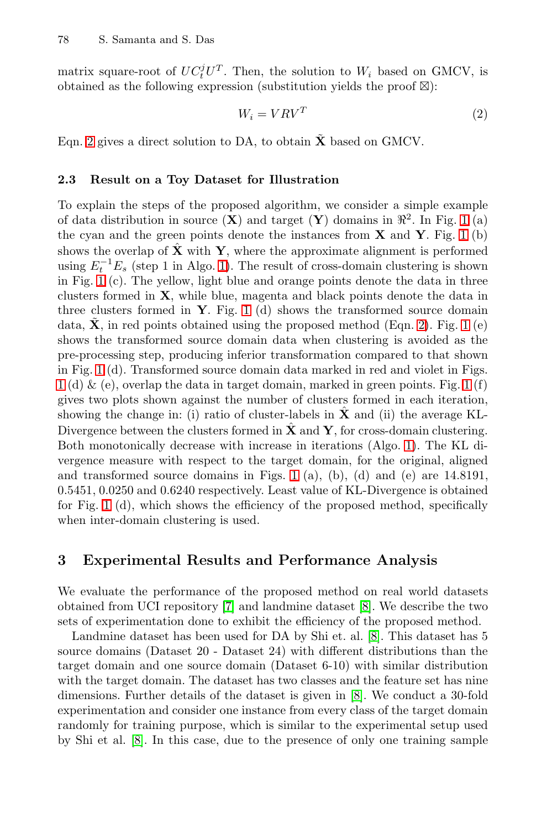#### 78 S. Samanta and S. Das

matrix square-root of  $UC_t^jU^T$ . Then, the solution to  $W_i$  based on GMCV, is obtained as the following expression (substitution yields the proof  $\boxtimes$ ):

<span id="page-4-0"></span>
$$
W_i = V R V^T \tag{2}
$$

Eqn. 2 give[s](#page-3-0) [a](#page-3-0) direct solution to DA, to obtain  $\tilde{\mathbf{X}}$  based on GMCV.

### **2.3 Result on a Toy Dataset for Illustration**

To explain the [ste](#page-5-0)ps of the proposed algorithm[, w](#page-4-0)e con[sid](#page-5-0)er a simple example of data distribution in source  $(\mathbf{X})$  and target  $(\mathbf{Y})$  domains in  $\mathbb{R}^2$ . In Fig. 1 (a) the cyan and the green points denote the instances from **X** and **Y**. Fig. 1 (b) shows the overlap of  $\hat{\mathbf{X}}$  with **Y**, where the approximate alignment is performed using  $E_t^{-1}E_s$  (step 1 in Algo. 1). The result of cross-dom[ai](#page-5-0)n clustering is shown in Fig. 1 (c). The yellow, light blue and orange points denote the data in three clusters formed in **X**, while blue, magenta and black points denote the data in three clusters formed in  $\mathbf{Y}$ . Fig. 1 (d) shows the transformed source domain data,  $\bf{X}$ , in red [po](#page-3-0)ints obtained using the proposed method (Eqn. 2). Fig. 1 (e) shows the transformed source domain data when clustering is avoided as the pre-processing step, pro[duc](#page-5-0)ing inferior transformation compared to that shown in Fig. 1 (d). Transformed source domain data marked in red and violet in Figs. 1 (d) & (e), overlap the data in target domain, marked in green points. Fig. 1 (f) gives two plots shown against the number of clusters formed in each iteration, showing the change in: (i) ratio of cluster-labels in  $\hat{\mathbf{X}}$  and (ii) the average KL-Divergence between the clusters formed in  $\hat{\mathbf{X}}$  and **Y**, for cross-domain clustering. Both monotonically decrease with increase in iterations (Algo. 1). The KL divergence measure with respect to the target domain, for the original, aligned and transformed source domains in Figs. 1 (a), (b), (d) and (e) are  $14.8191$ , 0.5451, 0.02[50](#page-7-4) and 0.6240 respectively[. L](#page-7-5)east value of KL-Divergence is obtained for Fig. 1 (d), which shows the efficiency of the proposed method, specifically when inter-domain clustering is used.

# **3 Experimental Results and Performance Analysis**

We evaluate the performance of th[e](#page-7-5) [p](#page-7-5)roposed method on real world datasets obtained from UCI repository [7] and landmine dataset [8]. We describe the two sets of experimentation done to exhibit the efficiency of the proposed method.

Landmine dataset has been used for DA by Shi et. al. [8]. This dataset has 5 source domains (Dataset 20 - Dataset 24) with different distributions than the target domain and one source domain (Dataset 6-10) with similar distribution with the target domain. The dataset has two classes and the feature set has nine dimensions. Further details of the dataset is given in [8]. We conduct a 30-fold experimentation and consider one instance from every class of the target domain randomly for training purpose, which is similar to the experimental setup used by Shi et al. [8]. In this case, due to the presence of only one training sample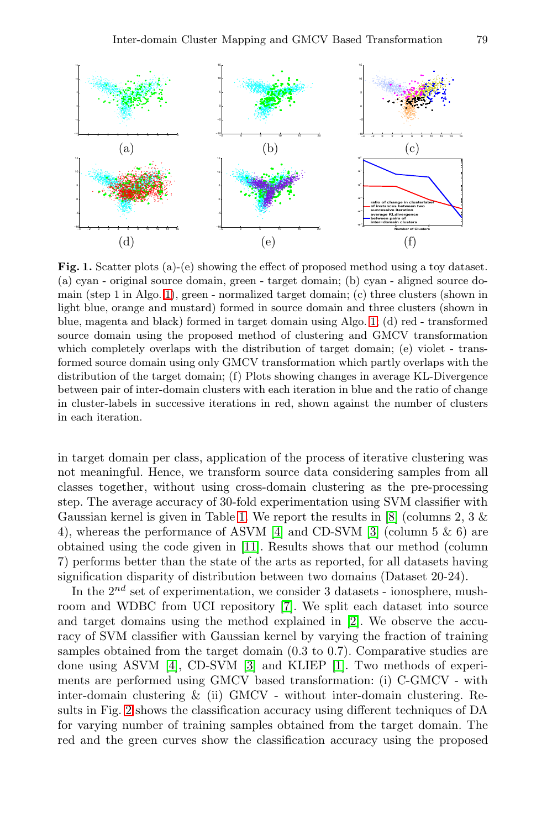

**Fig. 1.** Scatter plots (a)-(e) showing the effect of proposed method using a toy dataset. (a) cyan - original source domain, green - target domain; (b) cyan - aligned source domain (step 1 in Algo. 1), green - normalized target domain; (c) three clusters (shown in light blue, orange and mustard) formed in source domain and three clusters (shown in blue, magenta and black) formed in target domain using Algo. 1; (d) red - transformed source domain using the proposed method of clustering and GMCV transformation which completely overlaps with the distribution of target domain; (e) violet - transformed source domain using only GMCV transformation which partly overlaps with the distribution of the target domain; (f) Plots showing changes in average KL-Divergence between pair of inter-domain clusters with each iteration in blue and the ratio of change in cluster-labels [in](#page-6-0) successive iterations in re[d, s](#page-7-5)hown against the number of clusters in each iteration.

in target domain per class, application of the process of iterative clustering was not meaningful. Hence, we transform source data considering samples from all classes together, witho[ut](#page-7-4) using cross-domain clustering as the pre-processing step. The average accuracy of 30-fol[d](#page-7-8) experimentation using SVM classifier with Gaussian kernel is given in Table 1. We report the results in [8] (columns 2, 3  $\&$ 4), whereas the performance of ASVM [4] and CD-SVM [3] (column 5 & 6) are ob[ta](#page-7-9)ined using t[he](#page-7-1) code given in [\[1](#page-7-10)1]. Results shows that our method (column 7) performs better than the state of the arts as reported, for all datasets having signification disparity of distribution between two domains (Dataset 20-24).

In the  $2^{nd}$  set of experimentation, we consider 3 datasets - ionosphere, mushroom and WDBC from UCI repository [7]. We split each dataset into source and target domains using the method explained in [2]. We observe the accuracy of SVM classifier with Gaussian kernel by varying the fraction of training samples obtained from the target domain  $(0.3 \text{ to } 0.7)$ . Comparative studies are done using ASVM [4], CD-SVM [3] and KLIEP [1]. Two methods of experiments are performed using GMCV based transformation: (i) C-GMCV - with inter-domain clustering & (ii) GMCV - without inter-domain clustering. Results in Fig. 2 shows the classification accuracy using different techniques of DA for varying number of training samples obtained from the target domain. The red and the green curves show the classification accuracy using the proposed

<span id="page-5-0"></span>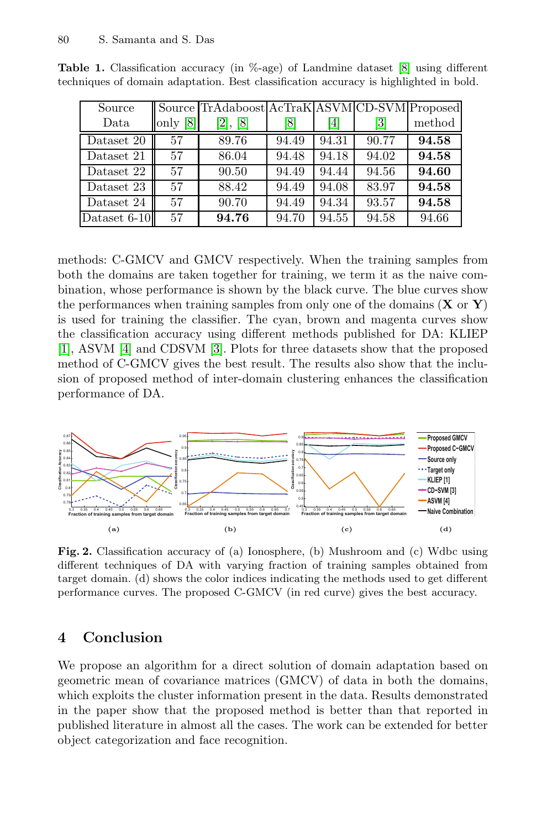#### <span id="page-6-0"></span>80 S. Samanta and S. Das

| Source       |          | Source TrAdaboost AcTraK ASVM CD-SVM Proposed |       |       |       |        |
|--------------|----------|-----------------------------------------------|-------|-------|-------|--------|
| Data         | only [8] | [2], [8]                                      | 181   | 4     | [3]   | method |
| Dataset 20   | 57       | 89.76                                         | 94.49 | 94.31 | 90.77 | 94.58  |
| Dataset 21   | 57       | 86.04                                         | 94.48 | 94.18 | 94.02 | 94.58  |
| Dataset 22   | 57       | 90.50                                         | 94.49 | 94.44 | 94.56 | 94.60  |
| Dataset 23   | 57       | 88.42                                         | 94.49 | 94.08 | 83.97 | 94.58  |
| Dataset 24   | 57       | 90.70                                         | 94.49 | 94.34 | 93.57 | 94.58  |
| Dataset 6-10 | 57       | 94.76                                         | 94.70 | 94.55 | 94.58 | 94.66  |

**Table 1.** Classification accuracy (in %-age) of Landmine dataset [8] using different techniques of domain adaptation. Best classification accuracy is highlighted in bold.

methods: C-GMCV and GMCV respectively. When the training samples from both the domains are taken together for training, we term it as the naive combination, whose performance is shown by the black curve. The blue curves show the performances when training samples from only one of the domains (**X** or **Y**) is used for training the classifier. The cyan, brown and magenta curves show the classification accuracy using different methods published for DA: KLIEP [1], ASVM [4] and CDSVM [3]. Plots for three datasets show that the proposed method of C-GMCV gives the best result. The results also show that the inclusion of proposed method of inter-domain clustering enhances the classification performance of DA.



**Fig. 2.** Classification accuracy of (a) Ionosphere, (b) Mushroom and (c) Wdbc using different techniques of DA with varying fraction of training samples obtained from target domain. (d) shows the color indices indicating the methods used to get different performance curves. The proposed C-GMCV (in red curve) gives the best accuracy.

### **4 Conclusion**

We propose an algorithm for a direct solution of domain adaptation based on geometric mean of covariance matrices (GMCV) of data in both the domains, which exploits the cluster information present in the data. Results demonstrated in the paper show that the proposed method is better than that reported in published literature in almost all the cases. The work can be extended for better object categorization and face recognition.